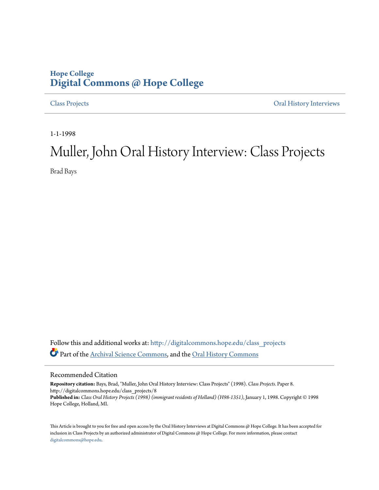## **Hope College [Digital Commons @ Hope College](http://digitalcommons.hope.edu?utm_source=digitalcommons.hope.edu%2Fclass_projects%2F8&utm_medium=PDF&utm_campaign=PDFCoverPages)**

[Class Projects](http://digitalcommons.hope.edu/class_projects?utm_source=digitalcommons.hope.edu%2Fclass_projects%2F8&utm_medium=PDF&utm_campaign=PDFCoverPages) [Oral History Interviews](http://digitalcommons.hope.edu/oral_histories?utm_source=digitalcommons.hope.edu%2Fclass_projects%2F8&utm_medium=PDF&utm_campaign=PDFCoverPages)

1-1-1998

# Muller, John Oral History Interview: Class Projects

Brad Bays

Follow this and additional works at: [http://digitalcommons.hope.edu/class\\_projects](http://digitalcommons.hope.edu/class_projects?utm_source=digitalcommons.hope.edu%2Fclass_projects%2F8&utm_medium=PDF&utm_campaign=PDFCoverPages) Part of the [Archival Science Commons,](http://network.bepress.com/hgg/discipline/1021?utm_source=digitalcommons.hope.edu%2Fclass_projects%2F8&utm_medium=PDF&utm_campaign=PDFCoverPages) and the [Oral History Commons](http://network.bepress.com/hgg/discipline/1195?utm_source=digitalcommons.hope.edu%2Fclass_projects%2F8&utm_medium=PDF&utm_campaign=PDFCoverPages)

### Recommended Citation

**Repository citation:** Bays, Brad, "Muller, John Oral History Interview: Class Projects" (1998). *Class Projects.* Paper 8. http://digitalcommons.hope.edu/class\_projects/8 **Published in:** *Class Oral History Projects (1998) (immigrant residents of Holland) (H98-1351)*, January 1, 1998. Copyright © 1998 Hope College, Holland, MI.

This Article is brought to you for free and open access by the Oral History Interviews at Digital Commons @ Hope College. It has been accepted for inclusion in Class Projects by an authorized administrator of Digital Commons @ Hope College. For more information, please contact [digitalcommons@hope.edu.](mailto:digitalcommons@hope.edu)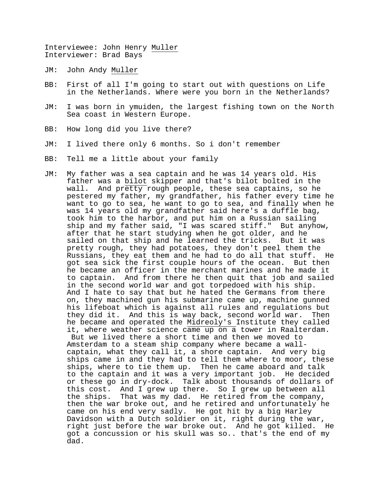Interviewee: John Henry Muller Interviewer: Brad Bays

- JM: John Andy Muller
- BB: First of all I'm going to start out with questions on Life in the Netherlands. Where were you born in the Netherlands?
- JM: I was born in ymuiden, the largest fishing town on the North Sea coast in Western Europe.
- BB: How long did you live there?
- JM: I lived there only 6 months. So i don't remember
- BB: Tell me a little about your family
- JM: My father was a sea captain and he was 14 years old. His father was a bilot skipper and that's bilot bolted in the wall. And pretty rough people, these sea captains, so he pestered my father, my grandfather, his father every time he want to go to sea, he want to go to sea, and finally when he was 14 years old my grandfather said here's a duffle bag, took him to the harbor, and put him on a Russian sailing ship and my father said, "I was scared stiff." But anyhow, after that he start studying when he got older, and he sailed on that ship and he learned the tricks. But it was pretty rough, they had potatoes, they don't peel them the Russians, they eat them and he had to do all that stuff. He got sea sick the first couple hours of the ocean. But then he became an officer in the merchant marines and he made it to captain. And from there he then quit that job and sailed in the second world war and got torpedoed with his ship. And I hate to say that but he hated the Germans from there on, they machined gun his submarine came up, machine gunned his lifeboat which is against all rules and regulations but they did it. And this is way back, second world war. Then he became and operated the Midreoly's Institute they called it, where weather science came up on a tower in Raalterdam. But we lived there a short time and then we moved to Amsterdam to a steam ship company where became a wallcaptain, what they call it, a shore captain. And very big ships came in and they had to tell them where to moor, these ships, where to tie them up. Then he came aboard and talk to the captain and it was a very important job. He decided or these go in dry-dock. Talk about thousands of dollars of this cost. And I grew up there. So I grew up between all the ships. That was my dad. He retired from the company, then the war broke out, and he retired and unfortunately he
	- came on his end very sadly. He got hit by a big Harley Davidson with a Dutch soldier on it, right during the war, right just before the war broke out. And he got killed. He got a concussion or his skull was so.. that's the end of my dad.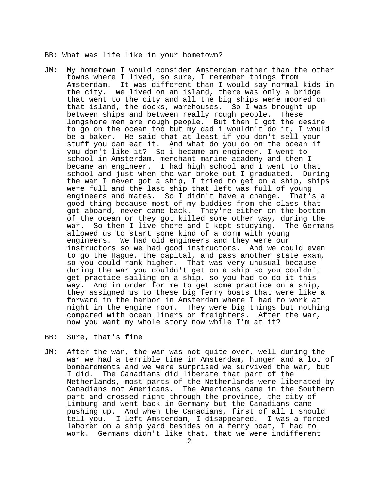BB: What was life like in your hometown?

- JM: My hometown I would consider Amsterdam rather than the other towns where I lived, so sure, I remember things from Amsterdam. It was different than I would say normal kids in the city. We lived on an island, there was only a bridge that went to the city and all the big ships were moored on that island, the docks, warehouses. So I was brought up between ships and between really rough people. These longshore men are rough people. But then I got the desire to go on the ocean too but my dad i wouldn't do it, I would be a baker. He said that at least if you don't sell your stuff you can eat it. And what do you do on the ocean if you don't like it? So i became an engineer. I went to school in Amsterdam, merchant marine academy and then I became an engineer. I had high school and I went to that school and just when the war broke out I graduated. During the war I never got a ship, I tried to get on a ship, ships were full and the last ship that left was full of young engineers and mates. So I didn't have a change. That's a good thing because most of my buddies from the class that got aboard, never came back. They're either on the bottom of the ocean or they got killed some other way, during the war. So then I live there and I kept studying. The Germans allowed us to start some kind of a dorm with young engineers. We had old engineers and they were our instructors so we had good instructors. And we could even to go the Hague, the capital, and pass another state exam, so you could rank higher. That was very unusual because during the war you couldn't get on a ship so you couldn't get practice sailing on a ship, so you had to do it this way. And in order for me to get some practice on a ship, they assigned us to these big ferry boats that were like a forward in the harbor in Amsterdam where I had to work at night in the engine room. They were big things but nothing compared with ocean liners or freighters. After the war, now you want my whole story now while I'm at it?
- BB: Sure, that's fine
- JM: After the war, the war was not quite over, well during the war we had a terrible time in Amsterdam, hunger and a lot of bombardments and we were surprised we survived the war, but I did. The Canadians did liberate that part of the Netherlands, most parts of the Netherlands were liberated by Canadians not Americans. The Americans came in the Southern part and crossed right through the province, the city of Limburg and went back in Germany but the Canadians came pushing up. And when the Canadians, first of all I should tell you. I left Amsterdam, I disappeared. I was a forced laborer on a ship yard besides on a ferry boat, I had to work. Germans didn't like that, that we were indifferent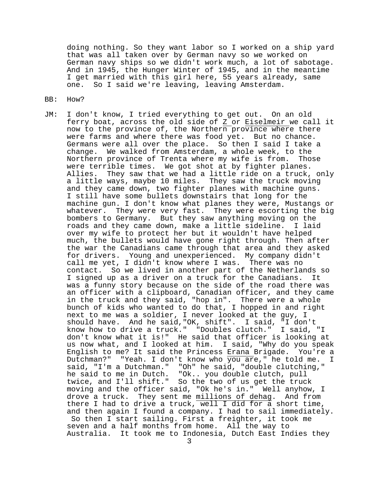doing nothing. So they want labor so I worked on a ship yard that was all taken over by German navy so we worked on German navy ships so we didn't work much, a lot of sabotage. And in 1945, the Hunger Winter of 1945, and in the meantime I get married with this girl here, 55 years already, same one. So I said we're leaving, leaving Amsterdam.

- BB: How?
- JM: I don't know, I tried everything to get out. On an old ferry boat, across the old side of Z or Eiselmeir we call it now to the province of, the Northern province where there were farms and where there was food yet. But no chance. Germans were all over the place. So then I said I take a change. We walked from Amsterdam, a whole week, to the Northern province of Trenta where my wife is from. Those were terrible times. We got shot at by fighter planes. Allies. They saw that we had a little ride on a truck, only a little ways, maybe 10 miles. They saw the truck moving and they came down, two fighter planes with machine guns. I still have some bullets downstairs that long for the machine gun. I don't know what planes they were, Mustangs or whatever. They were very fast. They were escorting the big bombers to Germany. But they saw anything moving on the roads and they came down, make a little sideline. I laid over my wife to protect her but it wouldn't have helped much, the bullets would have gone right through. Then after the war the Canadians came through that area and they asked for drivers. Young and unexperienced. My company didn't call me yet, I didn't know where I was. There was no contact. So we lived in another part of the Netherlands so I signed up as a driver on a truck for the Canadians. It was a funny story because on the side of the road there was an officer with a clipboard, Canadian officer, and they came in the truck and they said, "hop in". There were a whole bunch of kids who wanted to do that, I hopped in and right next to me was a soldier, I never looked at the guy, I should have. And he said,"OK, shift". I said, "I don't know how to drive a truck." "Doubles clutch." I said, "I don't know what it is!" He said that officer is looking at us now what, and I looked at him. I said, "Why do you speak English to me? It said the Princess Erana Brigade. You're a Dutchman?" "Yeah. I don't know who you are," he told me. I said, "I'm a Dutchman." "Oh" he said, "double clutching," he said to me in Dutch. "Ok.. you double clutch, pull twice, and I'll shift." So the two of us get the truck moving and the officer said, "Ok he's in." Well anyhow, I drove a truck. They sent me millions of dehag. And from there I had to drive a truck, well I did for a short time, and then again I found a company. I had to sail immediately. So then I start sailing. First a freighter, it took me seven and a half months from home. All the way to Australia. It took me to Indonesia, Dutch East Indies they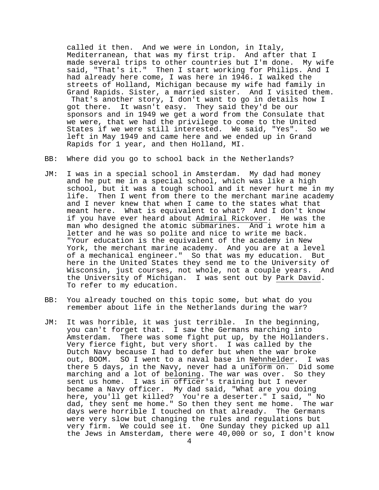called it then. And we were in London, in Italy, Mediterranean, that was my first trip. And after that I made several trips to other countries but I'm done. My wife said, "That's it." Then I start working for Philips. And I had already here come, I was here in 1946. I walked the streets of Holland, Michigan because my wife had family in Grand Rapids. Sister, a married sister. And I visited them. That's another story, I don't want to go in details how I got there. It wasn't easy. They said they'd be our sponsors and in 1949 we get a word from the Consulate that we were, that we had the privilege to come to the United States if we were still interested. We said, "Yes". So we left in May 1949 and came here and we ended up in Grand Rapids for 1 year, and then Holland, MI.

### BB: Where did you go to school back in the Netherlands?

- JM: I was in a special school in Amsterdam. My dad had money and he put me in a special school, which was like a high school, but it was a tough school and it never hurt me in my life. Then I went from there to the merchant marine academy and I never knew that when I came to the states what that meant here. What is equivalent to what? And I don't know if you have ever heard about Admiral Rickover. He was the man who designed the atomic submarines. And i wrote him a letter and he was so polite and nice to write me back. "Your education is the equivalent of the academy in New York, the merchant marine academy. And you are at a level of a mechanical engineer." So that was my education. But here in the United States they send me to the University of Wisconsin, just courses, not whole, not a couple years. And the University of Michigan. I was sent out by Park David. To refer to my education.
- BB: You already touched on this topic some, but what do you remember about life in the Netherlands during the war?
- JM: It was horrible, it was just terrible. In the beginning, you can't forget that. I saw the Germans marching into Amsterdam. There was some fight put up, by the Hollanders. Very fierce fight, but very short. I was called by the Dutch Navy because I had to defer but when the war broke out, BOOM. SO I went to a naval base in Nehnhelder. I was there 5 days, in the Navy, never had a uniform on. Did some marching and a lot of beloning. The war was over. So they sent us home. I was in officer's training but I never became a Navy officer. My dad said, "What are you doing here, you'll get killed? You're a deserter." I said, " No dad, they sent me home." So then they sent me home. The war days were horrible I touched on that already. The Germans were very slow but changing the rules and regulations but very firm. We could see it. One Sunday they picked up all the Jews in Amsterdam, there were 40,000 or so, I don't know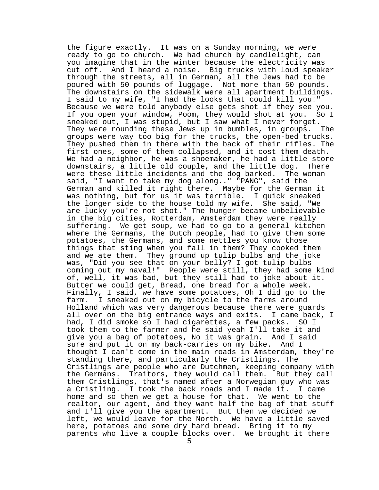the figure exactly. It was on a Sunday morning, we were ready to go to church. We had church by candlelight, can you imagine that in the winter because the electricity was cut off. And I heard a noise. Big trucks with loud speaker through the streets, all in German, all the Jews had to be poured with 50 pounds of luggage. Not more than 50 pounds. The downstairs on the sidewalk were all apartment buildings. I said to my wife, "I had the looks that could kill you!" Because we were told anybody else gets shot if they see you. If you open your window, Poom, they would shot at you. So I sneaked out, I was stupid, but I saw what I never forget. They were rounding these Jews up in bumbles, in groups. The groups were way too big for the trucks, the open-bed trucks. They pushed them in there with the back of their rifles. The first ones, some of them collapsed, and it cost them death. We had a neighbor, he was a shoemaker, he had a little store downstairs, a little old couple, and the little dog. There were these little incidents and the dog barked. The woman said, "I want to take my dog along.." "PANG", said the German and killed it right there. Maybe for the German it was nothing, but for us it was terrible. I quick sneaked the longer side to the house told my wife. She said, "We are lucky you're not shot." The hunger became unbelievable in the big cities, Rotterdam, Amsterdam they were really suffering. We get soup, we had to go to a general kitchen where the Germans, the Dutch people, had to give them some potatoes, the Germans, and some nettles you know those things that sting when you fall in them? They cooked them and we ate them. They ground up tulip bulbs and the joke was, "Did you see that on your belly? I got tulip bulbs coming out my naval!" People were still, they had some kind of, well, it was bad, but they still had to joke about it. Butter we could get, Bread, one bread for a whole week. Finally, I said, we have some potatoes, Oh I did go to the farm. I sneaked out on my bicycle to the farms around Holland which was very dangerous because there were guards all over on the big entrance ways and exits. I came back, I had, I did smoke so I had cigarettes, a few packs. SO I took them to the farmer and he said yeah I'll take it and give you a bag of potatoes, No it was grain. And I said sure and put it on my back-carries on my bike. And I thought I can't come in the main roads in Amsterdam, they're standing there, and particularly the Cristlings. The Cristlings are people who are Dutchmen, keeping company with the Germans. Traitors, they would call them. But they call them Cristlings, that's named after a Norwegian guy who was a Cristling. I took the back roads and I made it. I came home and so then we get a house for that. We went to the realtor, our agent, and they want half the bag of that stuff and I'll give you the apartment. But then we decided we left, we would leave for the North. We have a little saved here, potatoes and some dry hard bread. Bring it to my parents who live a couple blocks over. We brought it there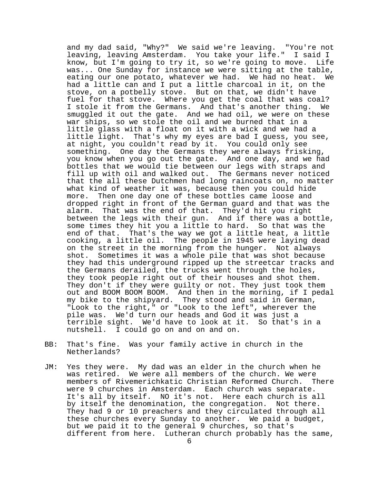and my dad said, "Why?" We said we're leaving. "You're not leaving, leaving Amsterdam. You take your life." I said I know, but I'm going to try it, so we're going to move. Life was... One Sunday for instance we were sitting at the table, eating our one potato, whatever we had. We had no heat. We had a little can and I put a little charcoal in it, on the stove, on a potbelly stove. But on that, we didn't have fuel for that stove. Where you get the coal that was coal? I stole it from the Germans. And that's another thing. We smuggled it out the gate. And we had oil, we were on these war ships, so we stole the oil and we burned that in a little glass with a float on it with a wick and we had a little light. That's why my eyes are bad I guess, you see, at night, you couldn't read by it. You could only see something. One day the Germans they were always frisking, you know when you go out the gate. And one day, and we had bottles that we would tie between our legs with straps and fill up with oil and walked out. The Germans never noticed that the all these Dutchmen had long raincoats on, no matter what kind of weather it was, because then you could hide more. Then one day one of these bottles came loose and dropped right in front of the German guard and that was the alarm. That was the end of that. They'd hit you right between the legs with their gun. And if there was a bottle, some times they hit you a little to hard. So that was the end of that. That's the way we got a little heat, a little cooking, a little oil. The people in 1945 were laying dead on the street in the morning from the hunger. Not always shot. Sometimes it was a whole pile that was shot because they had this underground ripped up the streetcar tracks and the Germans derailed, the trucks went through the holes, they took people right out of their houses and shot them. They don't if they were guilty or not. They just took them out and BOOM BOOM BOOM. And then in the morning, if I pedal my bike to the shipyard. They stood and said in German, "Look to the right," or "Look to the left", wherever the pile was. We'd turn our heads and God it was just a terrible sight. We'd have to look at it. So that's in a nutshell. I could go on and on and on.

- BB: That's fine. Was your family active in church in the Netherlands?
- JM: Yes they were. My dad was an elder in the church when he was retired. We were all members of the church. We were members of Rivemerichkatic Christian Reformed Church. There were 9 churches in Amsterdam. Each church was separate. It's all by itself. NO it's not. Here each church is all by itself the denomination, the congregation. Not there. They had 9 or 10 preachers and they circulated through all these churches every Sunday to another. We paid a budget, but we paid it to the general 9 churches, so that's different from here. Lutheran church probably has the same,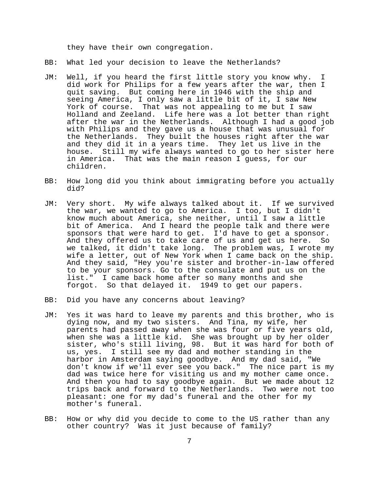they have their own congregation.

- BB: What led your decision to leave the Netherlands?
- JM: Well, if you heard the first little story you know why. I did work for Philips for a few years after the war, then I quit saving. But coming here in 1946 with the ship and seeing America, I only saw a little bit of it, I saw New<br>York of course. That was not appealing to me but I saw That was not appealing to me but I saw Holland and Zeeland. Life here was a lot better than right after the war in the Netherlands. Although I had a good job with Philips and they gave us a house that was unusual for the Netherlands. They built the houses right after the war and they did it in a years time. They let us live in the house. Still my wife always wanted to go to her sister here in America. That was the main reason I guess, for our children.
- BB: How long did you think about immigrating before you actually did?
- JM: Very short. My wife always talked about it. If we survived the war, we wanted to go to America. I too, but I didn't know much about America, she neither, until I saw a little bit of America. And I heard the people talk and there were sponsors that were hard to get. I'd have to get a sponsor. And they offered us to take care of us and get us here. So we talked, it didn't take long. The problem was, I wrote my wife a letter, out of New York when I came back on the ship. And they said, "Hey you're sister and brother-in-law offered to be your sponsors. Go to the consulate and put us on the list." I came back home after so many months and she forgot. So that delayed it. 1949 to get our papers.
- BB: Did you have any concerns about leaving?
- JM: Yes it was hard to leave my parents and this brother, who is dying now, and my two sisters. And Tina, my wife, her parents had passed away when she was four or five years old, when she was a little kid. She was brought up by her older sister, who's still living, 98. But it was hard for both of us, yes. I still see my dad and mother standing in the harbor in Amsterdam saying goodbye. And my dad said, "We don't know if we'll ever see you back." The nice part is my dad was twice here for visiting us and my mother came once. And then you had to say goodbye again. But we made about 12 trips back and forward to the Netherlands. Two were not too pleasant: one for my dad's funeral and the other for my mother's funeral.
- BB: How or why did you decide to come to the US rather than any other country? Was it just because of family?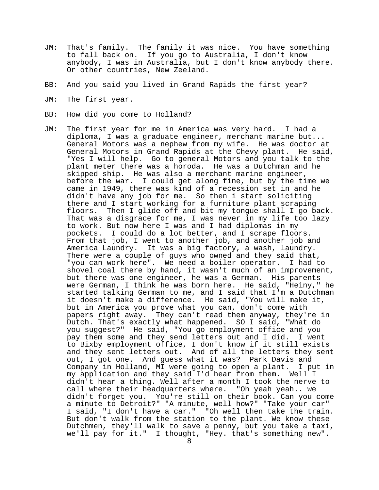- JM: That's family. The family it was nice. You have something to fall back on. If you go to Australia, I don't know anybody, I was in Australia, but I don't know anybody there. Or other countries, New Zeeland.
- BB: And you said you lived in Grand Rapids the first year?
- JM: The first year.
- BB: How did you come to Holland?
- JM: The first year for me in America was very hard. I had a diploma, I was a graduate engineer, merchant marine but... General Motors was a nephew from my wife. He was doctor at General Motors in Grand Rapids at the Chevy plant. He said, "Yes I will help. Go to general Motors and you talk to the plant meter there was a horoda. He was a Dutchman and he skipped ship. He was also a merchant marine engineer, before the war. I could get along fine, but by the time we came in 1949, there was kind of a recession set in and he didn't have any job for me. So then i start soliciting there and I start working for a furniture plant scraping<br>floors. Then I glide off and bit my tongue shall I go back. floors. Then I glide off and bit my tongue shall I go back.<br>That was a disgrace for me, I was never in my life too lazy to work. But now here I was and I had diplomas in my pockets. I could do a lot better, and I scrape floors. From that job, I went to another job, and another job and America Laundry. It was a big factory, a wash, laundry. There were a couple of guys who owned and they said that, "you can work here". We need a boiler operator. I had to shovel coal there by hand, it wasn't much of an improvement, but there was one engineer, he was a German. His parents were German, I think he was born here. He said, "Heiny," he started talking German to me, and I said that I'm a Dutchman it doesn't make a difference. He said, "You will make it, but in America you prove what you can, don't come with papers right away. They can't read them anyway, they're in Dutch. That's exactly what happened. SO I said, "What do you suggest?" He said, "You go employment office and you pay them some and they send letters out and I did. I went to Bixby employment office, I don't know if it still exists and they sent letters out. And of all the letters they sent out, I got one. And guess what it was? Park Davis and Company in Holland, MI were going to open a plant. I put in my application and they said I'd hear from them. Well I didn't hear a thing. Well after a month I took the nerve to call where their headquarters where. "Oh yeah yeah.. we didn't forget you. You're still on their book. Can you come a minute to Detroit?" "A minute, well how?" "Take your car" I said, "I don't have a car." "Oh well then take the train. But don't walk from the station to the plant. We know these Dutchmen, they'll walk to save a penny, but you take a taxi, we'll pay for it." I thought, "Hey. that's something new".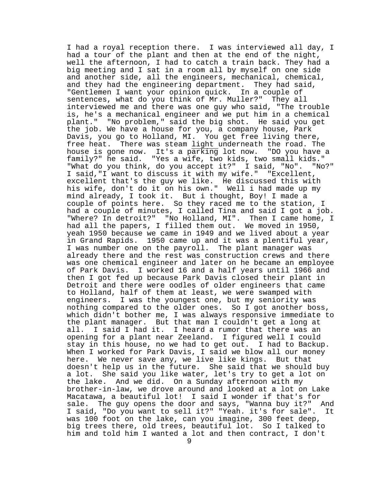I had a royal reception there. I was interviewed all day, I had a tour of the plant and then at the end of the night, well the afternoon, I had to catch a train back. They had a big meeting and I sat in a room all by myself on one side and another side, all the engineers, mechanical, chemical, and they had the engineering department. They had said, "Gentlemen I want your opinion quick. In a couple of sentences, what do you think of Mr. Muller?" They all interviewed me and there was one guy who said, "The trouble is, he's a mechanical engineer and we put him in a chemical plant." "No problem," said the big shot. He said you get the job. We have a house for you, a company house, Park Davis, you go to Holland, MI. You get free living there, free heat. There was steam light underneath the road. The house is gone now. It's a parking lot now. "DO you have a family?" he said. "Yes a wife, two kids, two small kids." "What do you think, do you accept it?" I said, "No". "No?" I said,"I want to discuss it with my wife." "Excellent, excellent that's the guy we like. He discussed this with his wife, don't do it on his own." Well i had made up my mind already, I took it. But i thought, Boy! I made a couple of points here. So they raced me to the station, I had a couple of minutes, I called Tina and said I got a job. "Where? In detroit?" "No Holland, MI". Then I came home, I had all the papers, I filled them out. We moved in 1950, yeah 1950 because we came in 1949 and we lived about a year in Grand Rapids. 1950 came up and it was a plentiful year, I was number one on the payroll. The plant manager was already there and the rest was construction crews and there was one chemical engineer and later on he became an employee of Park Davis. I worked 16 and a half years until 1966 and then I got fed up because Park Davis closed their plant in Detroit and there were oodles of older engineers that came to Holland, half of them at least, we were swamped with engineers. I was the youngest one, but my seniority was nothing compared to the older ones. So I got another boss, which didn't bother me, I was always responsive immediate to the plant manager. But that man I couldn't get a long at all. I said I had it. I heard a rumor that there was an all. I said I had it. I heard a rumor that there was an opening for a plant near Zeeland. I figured well I could stay in this house, no we had to get out. I had to Backup. When I worked for Park Davis, I said we blow all our money here. We never save any, we live like kings. But that doesn't help us in the future. She said that we should buy a lot. She said you like water, let's try to get a lot on the lake. And we did. On a Sunday afternoon with my brother-in-law, we drove around and looked at a lot on Lake Macatawa, a beautiful lot! I said I wonder if that's for sale. The guy opens the door and says, "Wanna buy it?" And I said, "Do you want to sell it?" "Yeah. it's for sale". It was 100 foot on the lake, can you imagine, 300 feet deep, big trees there, old trees, beautiful lot. So I talked to him and told him I wanted a lot and then contract, I don't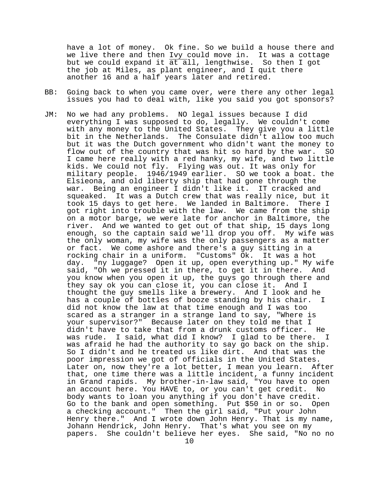have a lot of money. Ok fine. So we build a house there and we live there and then Ivy could move in. It was a cottage but we could expand it at all, lengthwise. So then I got the job at Miles, as plant engineer, and I quit there another 16 and a half years later and retired.

- BB: Going back to when you came over, were there any other legal issues you had to deal with, like you said you got sponsors?
- JM: No we had any problems. NO legal issues because I did everything I was supposed to do, legally. We couldn't come with any money to the United States. They give you a little bit in the Netherlands. The Consulate didn't allow too much but it was the Dutch government who didn't want the money to flow out of the country that was hit so hard by the war. SO I came here really with a red hanky, my wife, and two little kids. We could not fly. Flying was out. It was only for military people. 1946/1949 earlier. SO we took a boat. the Elsieona, and old liberty ship that had gone through the war. Being an engineer I didn't like it. IT cracked and squeaked. It was a Dutch crew that was really nice, but it took 15 days to get here. We landed in Baltimore. There I got right into trouble with the law. We came from the ship on a motor barge, we were late for anchor in Baltimore, the river. And we wanted to get out of that ship, 15 days long enough, so the captain said we'll drop you off. My wife was the only woman, my wife was the only passengers as a matter or fact. We come ashore and there's a guy sitting in a rocking chair in a uniform. "Customs" Ok. It was a hot day. "ny luggage? Open it up, open everything up." My wife said, "Oh we pressed it in there, to get it in there. And you know when you open it up, the guys go through there and they say ok you can close it, you can close it. And I thought the guy smells like a brewery. And I look and he has a couple of bottles of booze standing by his chair. I did not know the law at that time enough and I was too scared as a stranger in a strange land to say, "Where is your supervisor?" Because later on they told me that I didn't have to take that from a drunk customs officer. He was rude. I said, what did I know? I glad to be there. I was afraid he had the authority to say go back on the ship. So I didn't and he treated us like dirt. And that was the poor impression we got of officials in the United States. Later on, now they're a lot better, I mean you learn. After that, one time there was a little incident, a funny incident in Grand rapids. My brother-in-law said, "You have to open an account here. You HAVE to, or you can't get credit. No body wants to loan you anything if you don't have credit. Go to the bank and open something. Put \$50 in or so. Open a checking account." Then the girl said, "Put your John Henry there." And I wrote down John Henry. That is my name, Johann Hendrick, John Henry. That's what you see on my papers. She couldn't believe her eyes. She said, "No no no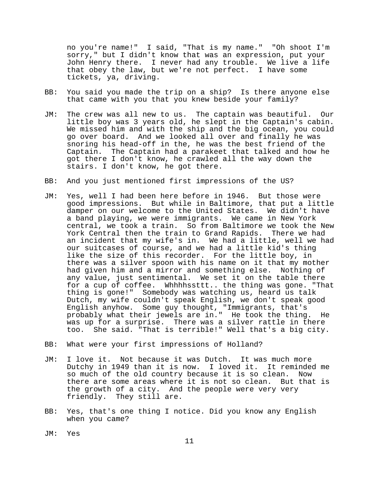no you're name!" I said, "That is my name." "Oh shoot I'm sorry," but I didn't know that was an expression, put your John Henry there. I never had any trouble. We live a life that obey the law, but we're not perfect. I have some tickets, ya, driving.

- BB: You said you made the trip on a ship? Is there anyone else that came with you that you knew beside your family?
- JM: The crew was all new to us. The captain was beautiful. Our little boy was 3 years old, he slept in the Captain's cabin. We missed him and with the ship and the big ocean, you could go over board. And we looked all over and finally he was snoring his head-off in the, he was the best friend of the Captain. The Captain had a parakeet that talked and how he got there I don't know, he crawled all the way down the stairs. I don't know, he got there.
- BB: And you just mentioned first impressions of the US?
- JM: Yes, well I had been here before in 1946. But those were good impressions. But while in Baltimore, that put a little damper on our welcome to the United States. We didn't have a band playing, we were immigrants. We came in New York central, we took a train. So from Baltimore we took the New York Central then the train to Grand Rapids. There we had an incident that my wife's in. We had a little, well we had our suitcases of course, and we had a little kid's thing like the size of this recorder. For the little boy, in there was a silver spoon with his name on it that my mother had given him and a mirror and something else. Nothing of any value, just sentimental. We set it on the table there for a cup of coffee. Whhhhssttt.. the thing was gone. "That thing is gone!" Somebody was watching us, heard us talk Dutch, my wife couldn't speak English, we don't speak good English anyhow. Some guy thought, "Immigrants, that's probably what their jewels are in." He took the thing. He was up for a surprise. There was a silver rattle in there too. She said. "That is terrible!" Well that's a big city.
- BB: What were your first impressions of Holland?
- JM: I love it. Not because it was Dutch. It was much more Dutchy in 1949 than it is now. I loved it. It reminded me so much of the old country because it is so clean. Now there are some areas where it is not so clean. But that is the growth of a city. And the people were very very friendly. They still are.
- BB: Yes, that's one thing I notice. Did you know any English when you came?
- JM: Yes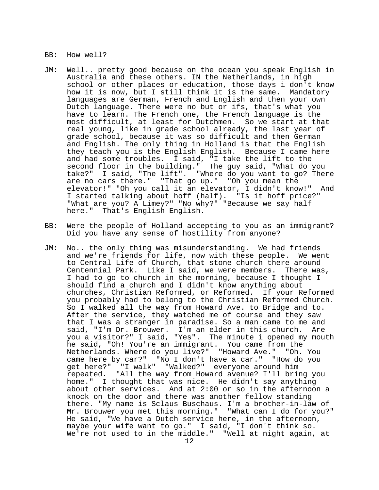BB: How well?

- JM: Well.. pretty good because on the ocean you speak English in Australia and these others. IN the Netherlands, in high school or other places or education, those days i don't know how it is now, but I still think it is the same. Mandatory languages are German, French and English and then your own Dutch language. There were no but or ifs, that's what you have to learn. The French one, the French language is the most difficult, at least for Dutchmen. So we start at that real young, like in grade school already, the last year of grade school, because it was so difficult and then German and English. The only thing in Holland is that the English they teach you is the English English. Because I came here and had some troubles. I said, "I take the lift to the second floor in the building." The guy said, "What do you take?" I said, "The lift". "Where do you want to go? There are no cars there." "That go up." "Oh you mean the elevator!" "Oh you call it an elevator, I didn't know!" And I started talking about hoff (half). "Is it hoff price?" "What are you? A Limey?" "No why?" "Because we say half here." That's English English.
- BB: Were the people of Holland accepting to you as an immigrant? Did you have any sense of hostility from anyone?
- JM: No.. the only thing was misunderstanding. We had friends and we're friends for life, now with these people. We went to Central Life of Church, that stone church there around Centennial Park. Like I said, we were members. There was, I had to go to church in the morning, because I thought I should find a church and I didn't know anything about churches, Christian Reformed, or Reformed. If your Reformed you probably had to belong to the Christian Reformed Church. So I walked all the way from Howard Ave. to Bridge and to. After the service, they watched me of course and they saw that I was a stranger in paradise. So a man came to me and said, "I'm Dr. <u>Brouwer</u>. I'm an elder in this church. Are you a visitor?" I said, "Yes". The minute i opened my mouth he said, "Oh! You're an immigrant. You came from the Netherlands. Where do you live?" "Howard Ave." "Oh. You came here by car?" "No I don't have a car." "How do you get here?" "I walk" "Walked?" everyone around him repeated. "All the way from Howard avenue? I'll bring you home." I thought that was nice. He didn't say anything about other services. And at 2:00 or so in the afternoon a knock on the door and there was another fellow standing there. "My name is Sclaus Buschaus. I'm a brother-in-law of Mr. Brouwer you met this morning." "What can I do for you?" He said, "We have a Dutch service here, in the afternoon, maybe your wife want to go." I said, "I don't think so. We're not used to in the middle." "Well at night again, at